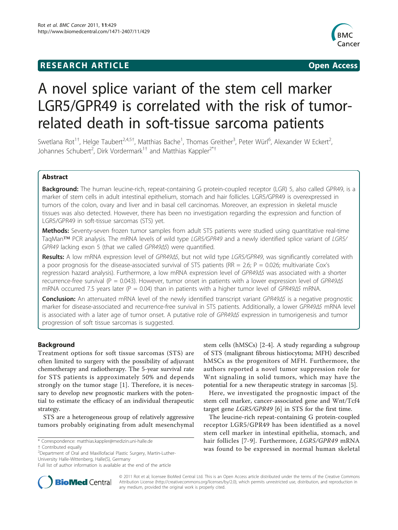## **RESEARCH ARTICLE Example 2018 CONSIDERING ACCESS**



# A novel splice variant of the stem cell marker LGR5/GPR49 is correlated with the risk of tumorrelated death in soft-tissue sarcoma patients

Swetlana Rot<sup>1†</sup>, Helge Taubert<sup>2,4,5†</sup>, Matthias Bache<sup>1</sup>, Thomas Greither<sup>3</sup>, Peter Würl<sup>6</sup>, Alexander W Eckert<sup>2</sup> .<br>, Johannes Schubert<sup>2</sup>, Dirk Vordermark<sup>1†</sup> and Matthias Kappler<sup>2\*†</sup>

## Abstract

**Background:** The human leucine-rich, repeat-containing G protein-coupled receptor (LGR) 5, also called GPR49, is a marker of stem cells in adult intestinal epithelium, stomach and hair follicles. LGR5/GPR49 is overexpressed in tumors of the colon, ovary and liver and in basal cell carcinomas. Moreover, an expression in skeletal muscle tissues was also detected. However, there has been no investigation regarding the expression and function of LGR5/GPR49 in soft-tissue sarcomas (STS) yet.

Methods: Seventy-seven frozen tumor samples from adult STS patients were studied using quantitative real-time TaqMan™ PCR analysis. The mRNA levels of wild type LGR5/GPR49 and a newly identified splice variant of LGR5/ GPR49 lacking exon 5 (that we called GPR49Δ5) were quantified.

Results: A low mRNA expression level of GPR49Δ5, but not wild type LGR5/GPR49, was significantly correlated with a poor prognosis for the disease-associated survival of STS patients (RR = 2.6;  $P = 0.026$ ; multivariate Cox's regression hazard analysis). Furthermore, a low mRNA expression level of GPR49Δ5 was associated with a shorter recurrence-free survival (P = 0.043). However, tumor onset in patients with a lower expression level of GPR49Δ5 mRNA occurred 7.5 years later (P = 0.04) than in patients with a higher tumor level of GPR49 $\Delta$ 5 mRNA.

Conclusion: An attenuated mRNA level of the newly identified transcript variant GPR49Δ5 is a negative prognostic marker for disease-associated and recurrence-free survival in STS patients. Additionally, a lower GPR49Δ5 mRNA level is associated with a later age of tumor onset. A putative role of GPR49Δ5 expression in tumorigenesis and tumor progression of soft tissue sarcomas is suggested.

## Background

Treatment options for soft tissue sarcomas (STS) are often limited to surgery with the possibility of adjuvant chemotherapy and radiotherapy. The 5-year survival rate for STS patients is approximately 50% and depends strongly on the tumor stage [[1\]](#page-6-0). Therefore, it is necessary to develop new prognostic markers with the potential to estimate the efficacy of an individual therapeutic strategy.

STS are a heterogeneous group of relatively aggressive tumors probably originating from adult mesenchymal

stem cells (hMSCs) [[2-4](#page-6-0)]. A study regarding a subgroup of STS (malignant fibrous histiocytoma; MFH) described hMSCs as the progenitors of MFH. Furthermore, the authors reported a novel tumor suppression role for Wnt signaling in solid tumors, which may have the potential for a new therapeutic strategy in sarcomas [[5\]](#page-6-0).

Here, we investigated the prognostic impact of the stem cell marker, cancer-associated gene and Wnt/Tcf4 target gene LGR5/GPR49 [[6](#page-6-0)] in STS for the first time.

The leucine-rich repeat-containing G protein-coupled receptor LGR5/GPR49 has been identified as a novel stem cell marker in intestinal epithelia, stomach, and hair follicles [[7-9\]](#page-6-0). Furthermore, LGR5/GPR49 mRNA was found to be expressed in normal human skeletal



© 2011 Rot et al; licensee BioMed Central Ltd. This is an Open Access article distributed under the terms of the Creative Commons Attribution License [\(http://creativecommons.org/licenses/by/2.0](http://creativecommons.org/licenses/by/2.0)), which permits unrestricted use, distribution, and reproduction in any medium, provided the original work is properly cited.

<sup>\*</sup> Correspondence: [matthias.kappler@medizin.uni-halle.de](mailto:matthias.kappler@medizin.uni-halle.de)

<sup>†</sup> Contributed equally <sup>2</sup>

Department of Oral and Maxillofacial Plastic Surgery, Martin-Luther-University Halle-Wittenberg, Halle(S), Germany

Full list of author information is available at the end of the article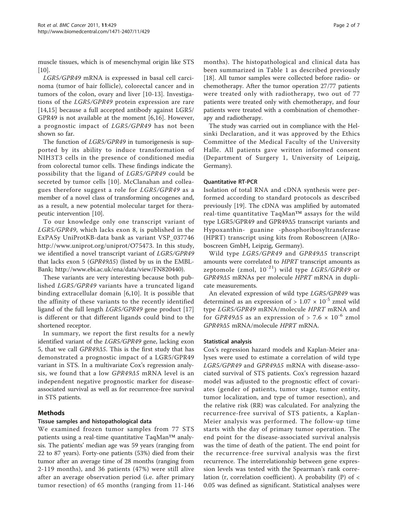muscle tissues, which is of mesenchymal origin like STS  $[10]$  $[10]$ .

LGR5/GPR49 mRNA is expressed in basal cell carcinoma (tumor of hair follicle), colorectal cancer and in tumors of the colon, ovary and liver [[10](#page-6-0)-[13\]](#page-6-0). Investigations of the LGR5/GPR49 protein expression are rare [[14,15](#page-6-0)] because a full accepted antibody against LGR5/ GPR49 is not available at the moment [[6,16](#page-6-0)]. However, a prognostic impact of LGR5/GPR49 has not been shown so far.

The function of LGR5/GPR49 in tumorigenesis is supported by its ability to induce transformation of NIH3T3 cells in the presence of conditioned media from colorectal tumor cells. These findings indicate the possibility that the ligand of LGR5/GPR49 could be secreted by tumor cells [[10\]](#page-6-0). McClanahan and colleagues therefore suggest a role for LGR5/GPR49 as a member of a novel class of transforming oncogenes and, as a result, a new potential molecular target for therapeutic intervention [[10\]](#page-6-0).

To our knowledge only one transcript variant of LGR5/GPR49, which lacks exon 8, is published in the ExPASy UniProtKB-data bank as variant VSP\_037746 <http://www.uniprot.org/uniprot/O75473>. In this study, we identified a novel transcript variant of LGR5/GPR49 that lacks exon 5 (GPR49Δ5) (listed by us in the EMBL-Bank; [http://www.ebi.ac.uk/ena/data/view/FN820440\)](http://www.ebi.ac.uk/ena/data/view/FN820440).

These variants are very interesting because both published LGR5/GPR49 variants have a truncated ligand binding extracellular domain [\[6](#page-6-0),[10](#page-6-0)]. It is possible that the affinity of these variants to the recently identified ligand of the full length LGR5/GPR49 gene product [[17](#page-6-0)] is different or that different ligands could bind to the shortened receptor.

In summary, we report the first results for a newly identified variant of the LGR5/GPR49 gene, lacking exon 5, that we call GPR49Δ5. This is the first study that has demonstrated a prognostic impact of a LGR5/GPR49 variant in STS. In a multivariate Cox's regression analysis, we found that a low GPR49Δ5 mRNA level is an independent negative prognostic marker for diseaseassociated survival as well as for recurrence-free survival in STS patients.

## Methods

## Tissue samples and histopathological data

We examined frozen tumor samples from 77 STS patients using a real-time quantitative TaqMan™ analysis. The patients' median age was 59 years (ranging from 22 to 87 years). Forty-one patients (53%) died from their tumor after an average time of 28 months (ranging from 2-119 months), and 36 patients (47%) were still alive after an average observation period (i.e. after primary tumor resection) of 65 months (ranging from 11-146 months). The histopathological and clinical data has been summarized in Table [1](#page-2-0) as described previously [[18\]](#page-6-0). All tumor samples were collected before radio- or chemotherapy. After the tumor operation 27/77 patients were treated only with radiotherapy, two out of 77 patients were treated only with chemotherapy, and four patients were treated with a combination of chemotherapy and radiotherapy.

The study was carried out in compliance with the Helsinki Declaration, and it was approved by the Ethics Committee of the Medical Faculty of the University Halle. All patients gave written informed consent (Department of Surgery 1, University of Leipzig, Germany).

## Quantitative RT-PCR

Isolation of total RNA and cDNA synthesis were performed according to standard protocols as described previously [\[19](#page-6-0)]. The cDNA was amplified by automated real-time quantitative TaqMan™ assays for the wild type LGR5/GPR49 and GPR49Δ5 transcript variants and Hypoxanthin- guanine -phosphoribosyltransferase (HPRT) transcript using kits from Roboscreen (AJRoboscreen GmbH, Leipzig, Germany).

Wild type LGR5/GPR49 and GPR49Δ5 transcript amounts were correlated to HPRT transcript amounts as zeptomole (zmol,  $10^{-21}$ ) wild type LGR5/GPR49 or GPR49Δ5 mRNAs per molecule HPRT mRNA in duplicate measurements.

An elevated expression of wild type LGR5/GPR49 was determined as an expression of  $> 1.07 \times 10^{-5}$  zmol wild type LGR5/GPR49 mRNA/molecule HPRT mRNA and for GPR49 $\Delta$ 5 as an expression of > 7.6  $\times$  10<sup>-6</sup> zmol GPR49Δ5 mRNA/molecule HPRT mRNA.

## Statistical analysis

Cox's regression hazard models and Kaplan-Meier analyses were used to estimate a correlation of wild type LGR5/GPR49 and GPR49Δ5 mRNA with disease-associated survival of STS patients. Cox's regression hazard model was adjusted to the prognostic effect of covariates (gender of patients, tumor stage, tumor entity, tumor localization, and type of tumor resection), and the relative risk (RR) was calculated. For analyzing the recurrence-free survival of STS patients, a Kaplan-Meier analysis was performed. The follow-up time starts with the day of primary tumor operation. The end point for the disease-associated survival analysis was the time of death of the patient. The end point for the recurrence-free survival analysis was the first recurrence. The interrelationship between gene expression levels was tested with the Spearman's rank correlation (r, correlation coefficient). A probability (P) of  $\lt$ 0.05 was defined as significant. Statistical analyses were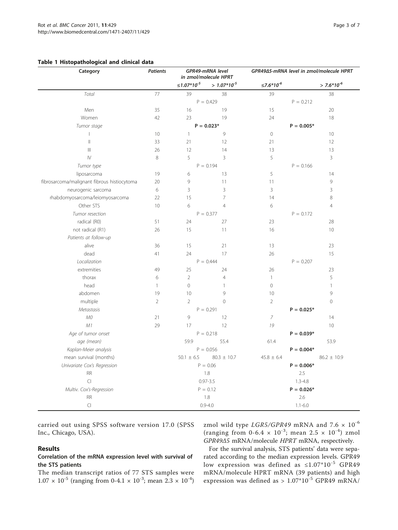#### <span id="page-2-0"></span>Table 1 Histopathological and clinical data

| Category                                    | <b>Patients</b> | GPR49-mRNA level<br>in zmol/molecule HPRT |                            | GPR49∆5-mRNA level in zmol/molecule HPRT |                 |
|---------------------------------------------|-----------------|-------------------------------------------|----------------------------|------------------------------------------|-----------------|
|                                             |                 | ≤1.07*10 <sup>-5</sup>                    | $> 1.07*10^{-5}$           | $\leq 7.6*10^{6}$                        | $> 7.6*10^{-6}$ |
| Total                                       | 77              | 39                                        | 38                         | 39                                       | 38              |
|                                             |                 | $P = 0.429$                               |                            | $P = 0.212$                              |                 |
| Men                                         | 35              | 16                                        | 19                         | 15                                       | 20              |
| Women                                       | 42              | 23                                        | 19                         | 24                                       | 18              |
| Tumor stage                                 |                 | $P = 0.023*$                              |                            | $P = 0.005*$                             |                 |
|                                             | 10              | $\mathbf{1}$                              | 9                          | $\mathbf 0$                              | 10              |
| $\vert\vert$                                | 33              | 21                                        | 12                         | 21                                       | 12              |
| $\mathbb{H}$                                | 26              | 12                                        | 14                         | 13                                       | 13              |
| $\mathbb N$                                 | 8               | 5                                         | 3                          | 5                                        | 3               |
| Tumor type                                  |                 | $P = 0.194$                               |                            | $P = 0.166$                              |                 |
| liposarcoma                                 | 19              | 6                                         | 13                         | 5                                        | 14              |
| fibrosarcoma/malignant fibrous histiocytoma | 20              | 9                                         | 11                         | 11                                       | 9               |
| neurogenic sarcoma                          | 6               | 3                                         | 3                          | $\mathsf 3$                              | 3               |
| rhabdomyosarcoma/leiomyosarcoma             | 22              | 15                                        | $\overline{7}$             | 14                                       | 8               |
| Other STS                                   | 10              | 6                                         | $\overline{4}$             | 6                                        | $\overline{4}$  |
| Tumor resection                             |                 |                                           | $P = 0.377$<br>$P = 0.172$ |                                          |                 |
| radical (R0)                                | 51              | 24                                        | 27                         | 23                                       | 28              |
| not radical (R1)                            | 26              | 15                                        | 11                         | 16                                       | 10              |
| Patients at follow-up                       |                 |                                           |                            |                                          |                 |
| alive                                       | 36              | 15                                        | 21                         | 13                                       | 23              |
| dead                                        | 41              | 24                                        | 17                         | 26                                       | 15              |
| Localization                                |                 | $P = 0.444$                               |                            | $P = 0.207$                              |                 |
| extremities                                 | 49              | 25                                        | 24                         | 26                                       | 23              |
| thorax                                      | 6               | $\overline{2}$                            | $\overline{4}$             | $\mathbf{1}$                             | 5               |
| head                                        | $\mathbf{1}$    | $\overline{0}$                            | $\mathbf{1}$               | $\overline{0}$                           | $\mathbf{1}$    |
| abdomen                                     | 19              | 10                                        | 9                          | 10                                       | 9               |
| multiple                                    | $\overline{2}$  | $\overline{2}$                            | $\mathbf 0$                | $\overline{2}$                           | $\mathbf 0$     |
| Metastasis                                  |                 |                                           | $P = 0.291$                | $P = 0.025*$                             |                 |
| M0                                          | 21              | 9                                         | 12                         | $\boldsymbol{7}$                         | 14              |
| M1                                          | 29              | 17                                        | 12                         | 19                                       | 10              |
| Age of tumor onset                          |                 |                                           | $P = 0.218$                |                                          | $P = 0.039*$    |
| age (mean)                                  |                 | 59.9                                      | 55.4                       | 61.4                                     | 53.9            |
| Kaplan-Meier analysis                       |                 |                                           | $P = 0.056$                |                                          | $P = 0.004*$    |
| mean survival (months)                      |                 | $50.1 \pm 6.5$                            | $80.3 \pm 10.7$            | $45.8 \pm 6.4$                           | $86.2 \pm 10.9$ |
| Univariate Cox's Regression                 |                 | $P = 0.06$                                |                            | $P = 0.006*$                             |                 |
| <b>RR</b>                                   |                 | 1.8                                       |                            | 2.5                                      |                 |
| $\subset$                                   |                 | $0.97 - 3.5$                              |                            | $1.3 - 4.8$                              |                 |
| Multiv. Cox's-Regression                    |                 | $P = 0.12$                                |                            | $P = 0.026*$                             |                 |
| <b>RR</b>                                   |                 | 1.8                                       |                            | 2.6                                      |                 |
| $\Box$                                      |                 | $0.9 - 4.0$                               |                            | $1.1 - 6.0$                              |                 |

carried out using SPSS software version 17.0 (SPSS Inc., Chicago, USA).

## Results

## Correlation of the mRNA expression level with survival of the STS patients

The median transcript ratios of 77 STS samples were  $1.07 \times 10^{-5}$  (ranging from 0-4.1  $\times 10^{-3}$ ; mean  $2.3 \times 10^{-4}$ ) zmol wild type LGR5/GPR49 mRNA and  $7.6 \times 10^{-6}$ (ranging from 0-6.4  $\times$  10<sup>-3</sup>; mean 2.5  $\times$  10<sup>-4</sup>) zmol GPR49Δ5 mRNA/molecule HPRT mRNA, respectively.

For the survival analysis, STS patients' data were separated according to the median expression levels. GPR49 low expression was defined as ≤1.07\*10-5 GPR49 mRNA/molecule HPRT mRNA (39 patients) and high expression was defined as >  $1.07*10^{-5}$  GPR49 mRNA/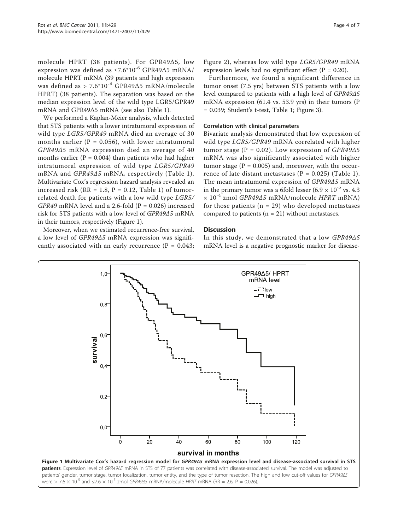molecule HPRT (38 patients). For GPR49Δ5, low expression was defined as ≤7.6\*10<sup>-6</sup> GPR49Δ5 mRNA/ molecule HPRT mRNA (39 patients and high expression was defined as > 7.6\*10<sup>-6</sup> GPR49Δ5 mRNA/molecule HPRT) (38 patients). The separation was based on the median expression level of the wild type LGR5/GPR49 mRNA and GPR49Δ5 mRNA (see also Table [1](#page-2-0)).

We performed a Kaplan-Meier analysis, which detected that STS patients with a lower intratumoral expression of wild type LGR5/GPR49 mRNA died an average of 30 months earlier ( $P = 0.056$ ), with lower intratumoral GPR49Δ5 mRNA expression died an average of 40 months earlier ( $P = 0.004$ ) than patients who had higher intratumoral expression of wild type LGR5/GPR49 mRNA and GPR49Δ5 mRNA, respectively (Table [1\)](#page-2-0). Multivariate Cox's regression hazard analysis revealed an increased risk ( $RR = 1.8$ ,  $P = 0.12$ , Table [1\)](#page-2-0) of tumorrelated death for patients with a low wild type LGR5/ GPR49 mRNA level and a 2.6-fold ( $P = 0.026$ ) increased risk for STS patients with a low level of GPR49Δ5 mRNA in their tumors, respectively (Figure 1).

Moreover, when we estimated recurrence-free survival, a low level of GPR49Δ5 mRNA expression was significantly associated with an early recurrence ( $P = 0.043$ ; Figure [2](#page-4-0)), whereas low wild type LGR5/GPR49 mRNA expression levels had no significant effect ( $P = 0.20$ ).

Furthermore, we found a significant difference in tumor onset (7.5 yrs) between STS patients with a low level compared to patients with a high level of GPR49Δ5 mRNA expression (61.4 vs. 53.9 yrs) in their tumors (P = 0.039; Student's t-test, Table [1;](#page-2-0) Figure [3\)](#page-5-0).

#### Correlation with clinical parameters

Bivariate analysis demonstrated that low expression of wild type LGR5/GPR49 mRNA correlated with higher tumor stage ( $P = 0.02$ ). Low expression of  $GPR49\Delta 5$ mRNA was also significantly associated with higher tumor stage ( $P = 0.005$ ) and, moreover, with the occurrence of late distant metastases ( $P = 0.025$ ) (Table [1\)](#page-2-0). The mean intratumoral expression of GPR49Δ5 mRNA in the primary tumor was a 6fold lesser  $(6.9 \times 10^{-5} \text{ vs. } 4.3)$  $\times$  10<sup>-4</sup> zmol GPR49 $\Delta$ 5 mRNA/molecule HPRT mRNA) for those patients ( $n = 29$ ) who developed metastases compared to patients  $(n = 21)$  without metastases.

## **Discussion**

In this study, we demonstrated that a low GPR49Δ5 mRNA level is a negative prognostic marker for disease-

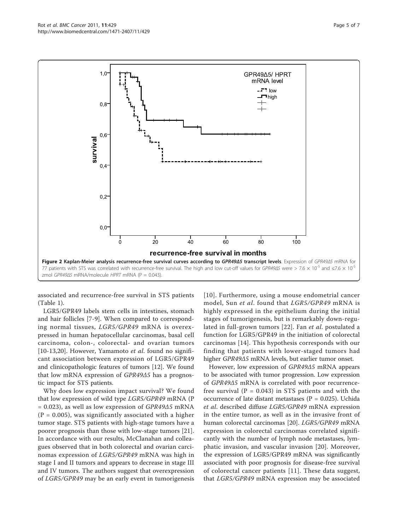<span id="page-4-0"></span>

associated and recurrence-free survival in STS patients (Table [1\)](#page-2-0).

LGR5/GPR49 labels stem cells in intestines, stomach and hair follicles [[7-9\]](#page-6-0). When compared to corresponding normal tissues, LGR5/GPR49 mRNA is overexpressed in human hepatocellular carcinomas, basal cell carcinoma, colon-, colorectal- and ovarian tumors [[10-13,20\]](#page-6-0). However, Yamamoto *et al.* found no significant association between expression of LGR5/GPR49 and clinicopathologic features of tumors [[12](#page-6-0)]. We found that low mRNA expression of GPR49Δ5 has a prognostic impact for STS patients.

Why does low expression impact survival? We found that low expression of wild type LGR5/GPR49 mRNA (P  $= 0.023$ ), as well as low expression of  $GPR49\Delta5$  mRNA  $(P = 0.005)$ , was significantly associated with a higher tumor stage. STS patients with high-stage tumors have a poorer prognosis than those with low-stage tumors [\[21](#page-6-0)]. In accordance with our results, McClanahan and colleagues observed that in both colorectal and ovarian carcinomas expression of LGR5/GPR49 mRNA was high in stage I and II tumors and appears to decrease in stage III and IV tumors. The authors suggest that overexpression of LGR5/GPR49 may be an early event in tumorigenesis [[10\]](#page-6-0). Furthermore, using a mouse endometrial cancer model, Sun et al. found that LGR5/GPR49 mRNA is highly expressed in the epithelium during the initial stages of tumorigenesis, but is remarkably down-regulated in full-grown tumors [[22\]](#page-6-0). Fan et al. postulated a function for LGR5/GPR49 in the initiation of colorectal carcinomas [\[14](#page-6-0)]. This hypothesis corresponds with our finding that patients with lower-staged tumors had higher GPR49Δ5 mRNA levels, but earlier tumor onset.

However, low expression of GPR49Δ5 mRNA appears to be associated with tumor progression. Low expression of GPR49Δ5 mRNA is correlated with poor recurrencefree survival ( $P = 0.043$ ) in STS patients and with the occurrence of late distant metastases ( $P = 0.025$ ). Uchida et al. described diffuse LGR5/GPR49 mRNA expression in the entire tumor, as well as in the invasive front of human colorectal carcinomas [[20\]](#page-6-0). LGR5/GPR49 mRNA expression in colorectal carcinomas correlated significantly with the number of lymph node metastases, lymphatic invasion, and vascular invasion [\[20\]](#page-6-0). Moreover, the expression of LGR5/GPR49 mRNA was significantly associated with poor prognosis for disease-free survival of colorectal cancer patients [[11](#page-6-0)]. These data suggest, that LGR5/GPR49 mRNA expression may be associated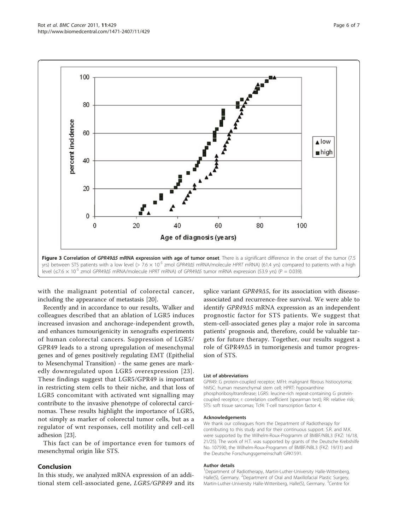Page 6 of 7

<span id="page-5-0"></span>

with the malignant potential of colorectal cancer, including the appearance of metastasis [[20\]](#page-6-0).

Recently and in accordance to our results, Walker and colleagues described that an ablation of LGR5 induces increased invasion and anchorage-independent growth, and enhances tumourigenicity in xenografts experiments of human colorectal cancers. Suppression of LGR5/ GPR49 leads to a strong upregulation of mesenchymal genes and of genes positively regulating EMT (Epithelial to Mesenchymal Transition) - the same genes are markedly downregulated upon LGR5 overexpression [\[23\]](#page-6-0). These findings suggest that LGR5/GPR49 is important in restricting stem cells to their niche, and that loss of LGR5 concomitant with activated wnt signalling may contribute to the invasive phenotype of colorectal carcinomas. These results highlight the importance of LGR5, not simply as marker of colorectal tumor cells, but as a regulator of wnt responses, cell motility and cell-cell adhesion [\[23\]](#page-6-0).

This fact can be of importance even for tumors of mesenchymal origin like STS.

## Conclusion

In this study, we analyzed mRNA expression of an additional stem cell-associated gene, LGR5/GPR49 and its splice variant GPR49Δ5, for its association with diseaseassociated and recurrence-free survival. We were able to identify GPR49Δ5 mRNA expression as an independent prognostic factor for STS patients. We suggest that stem-cell-associated genes play a major role in sarcoma patients' prognosis and, therefore, could be valuable targets for future therapy. Together, our results suggest a role of GPR49Δ5 in tumorigenesis and tumor progression of STS.

#### List of abbreviations

GPR49: G protein-coupled receptor; MFH: malignant fibrous histiocytoma; hMSC: human mesenchymal stem cell; HPRT: hypoxanthine phosphoribosyltransferase; LGR5: leucine-rich repeat-containing G proteincoupled receptor; r: correlation coefficient (spearman test); RR: relative risk; STS: soft tissue sarcomas; Tcf4: T-cell transcription factor 4.

#### Acknowledgements

We thank our colleagues from the Department of Radiotherapy for contributing to this study and for their continuous support. S.R. and M.K. were supported by the Wilhelm-Roux-Programm of BMBF/NBL3 (FKZ: 16/18, 21/25). The work of H.T. was supported by grants of the Deutsche Krebshilfe No. 107590, the Wilhelm-Roux-Programm of BMBF/NBL3 (FKZ: 19/31) and the Deutsche Forschungsgemeinschaft GRK1591.

#### Author details

<sup>1</sup>Department of Radiotherapy, Martin-Luther-University Halle-Wittenberg, Halle(S), Germany. <sup>2</sup>Department of Oral and Maxillofacial Plastic Surgery Martin-Luther-University Halle-Wittenberg, Halle(S), Germany. <sup>3</sup>Centre for